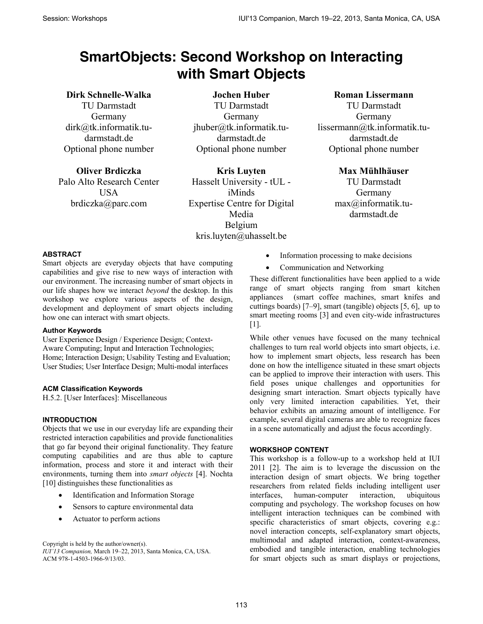# **SmartObjects: Second Workshop on Interacting with Smart Objects**

# **Dirk Schnelle-Walka**

TU Darmstadt Germany dirk@tk.informatik.tudarmstadt.de Optional phone number

**Oliver Brdiczka**  Palo Alto Research Center **USA** brdiczka@parc.com

**Jochen Huber**  TU Darmstadt Germany jhuber@tk.informatik.tudarmstadt.de Optional phone number

**Kris Luyten**  Hasselt University - tUL iMinds Expertise Centre for Digital Media Belgium kris.luyten@uhasselt.be

## **Roman Lissermann**

TU Darmstadt Germany lissermann@tk.informatik.tudarmstadt.de Optional phone number

> **Max Mühlhäuser**  TU Darmstadt Germany max@informatik.tudarmstadt.de

## **ABSTRACT**

Smart objects are everyday objects that have computing capabilities and give rise to new ways of interaction with our environment. The increasing number of smart objects in our life shapes how we interact *beyond* the desktop. In this workshop we explore various aspects of the design, development and deployment of smart objects including how one can interact with smart objects.

#### **Author Keywords**

User Experience Design / Experience Design; Context-Aware Computing; Input and Interaction Technologies; Home; Interaction Design; Usability Testing and Evaluation; User Studies; User Interface Design; Multi-modal interfaces

#### **ACM Classification Keywords**

H.5.2. [User Interfaces]: Miscellaneous

#### **INTRODUCTION**

Objects that we use in our everyday life are expanding their restricted interaction capabilities and provide functionalities that go far beyond their original functionality. They feature computing capabilities and are thus able to capture information, process and store it and interact with their environments, turning them into *smart objects* [4]. Nochta [10] distinguishes these functionalities as

- Identification and Information Storage
- Sensors to capture environmental data
- Actuator to perform actions

Copyright is held by the author/owner(s).

*IUI'13 Companion,* March 19–22, 2013, Santa Monica, CA, USA. ACM 978-1-4503-1966-9/13/03.

- Information processing to make decisions
- Communication and Networking

These different functionalities have been applied to a wide range of smart objects ranging from smart kitchen appliances (smart coffee machines, smart knifes and cuttings boards) [7–9], smart (tangible) objects [5, 6], up to smart meeting rooms [3] and even city-wide infrastructures [1].

While other venues have focused on the many technical challenges to turn real world objects into smart objects, i.e. how to implement smart objects, less research has been done on how the intelligence situated in these smart objects can be applied to improve their interaction with users. This field poses unique challenges and opportunities for designing smart interaction. Smart objects typically have only very limited interaction capabilities. Yet, their behavior exhibits an amazing amount of intelligence. For example, several digital cameras are able to recognize faces in a scene automatically and adjust the focus accordingly.

#### **WORKSHOP CONTENT**

This workshop is a follow-up to a workshop held at IUI 2011 [2]. The aim is to leverage the discussion on the interaction design of smart objects. We bring together researchers from related fields including intelligent user interfaces, human-computer interaction, ubiquitous computing and psychology. The workshop focuses on how intelligent interaction techniques can be combined with specific characteristics of smart objects, covering e.g.: novel interaction concepts, self-explanatory smart objects, multimodal and adapted interaction, context-awareness, embodied and tangible interaction, enabling technologies for smart objects such as smart displays or projections,